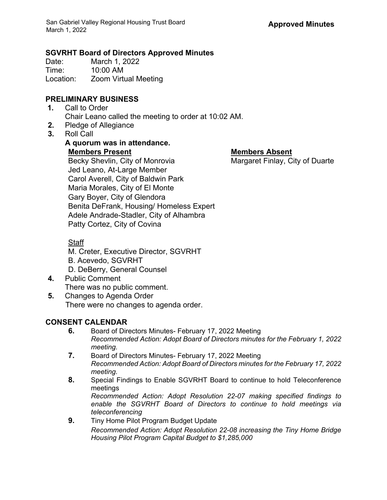# **SGVRHT Board of Directors Approved Minutes**

Date: March 1, 2022<br>Time: 10:00 AM 10:00 AM Location: Zoom Virtual Meeting

#### **PRELIMINARY BUSINESS**

- **1.** Call to Order Chair Leano called the meeting to order at 10:02 AM.
- **2.** Pledge of Allegiance
- **3.** Roll Call

## **A quorum was in attendance. Members Present Members Absent**

Becky Shevlin, City of Monrovia Margaret Finlay, City of Duarte Jed Leano, At-Large Member Carol Averell, City of Baldwin Park Maria Morales, City of El Monte Gary Boyer, City of Glendora Benita DeFrank, Housing/ Homeless Expert Adele Andrade-Stadler, City of Alhambra Patty Cortez, City of Covina

### Staff

- M. Creter, Executive Director, SGVRHT
- B. Acevedo, SGVRHT
- D. DeBerry, General Counsel
- **4.** Public Comment There was no public comment.
- **5.** Changes to Agenda Order There were no changes to agenda order.

#### **CONSENT CALENDAR**

- **6.** Board of Directors Minutes- February 17, 2022 Meeting *Recommended Action: Adopt Board of Directors minutes for the February 1, 2022 meeting.*
- **7.** Board of Directors Minutes- February 17, 2022 Meeting *Recommended Action: Adopt Board of Directors minutes for the February 17, 2022 meeting.*
- **8.** Special Findings to Enable SGVRHT Board to continue to hold Teleconference meetings *Recommended Action: Adopt Resolution 22-07 making specified findings to enable the SGVRHT Board of Directors to continue to hold meetings via teleconferencing*
- **9.** Tiny Home Pilot Program Budget Update *Recommended Action: Adopt Resolution 22-08 increasing the Tiny Home Bridge Housing Pilot Program Capital Budget to \$1,285,000*